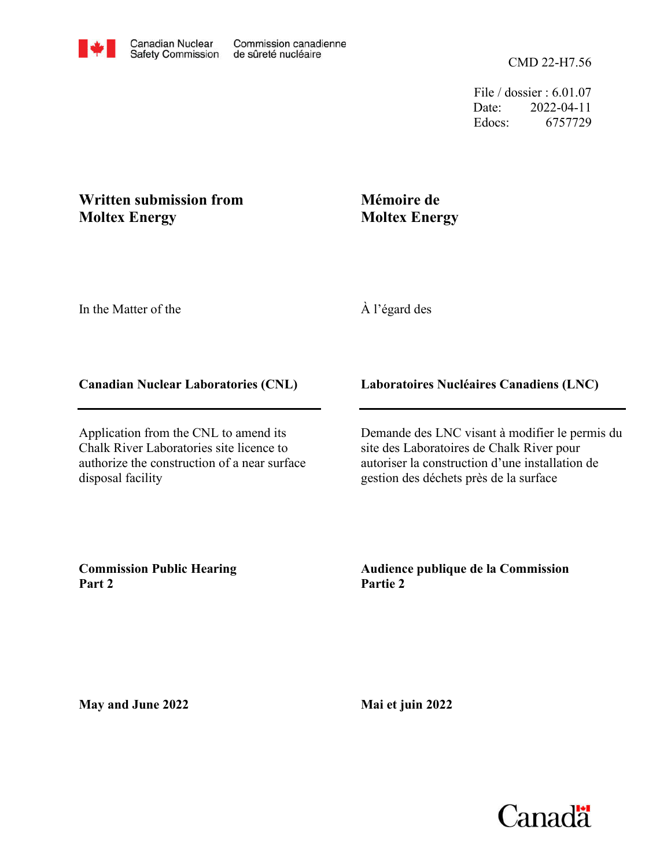File / dossier : 6.01.07 Date: 2022-04-11 Edocs: 6757729

## **Written submission from Moltex Energy**

# **Mémoire de Moltex Energy**

In the Matter of the

À l'égard des

### **Canadian Nuclear Laboratories (CNL)**

Application from the CNL to amend its Chalk River Laboratories site licence to authorize the construction of a near surface disposal facility

### **Laboratoires Nucléaires Canadiens (LNC)**

Demande des LNC visant à modifier le permis du site des Laboratoires de Chalk River pour autoriser la construction d'une installation de gestion des déchets près de la surface

**Commission Public Hearing Part 2**

#### **Audience publique de la Commission Partie 2**

**May and June 2022**

**Mai et juin 2022**

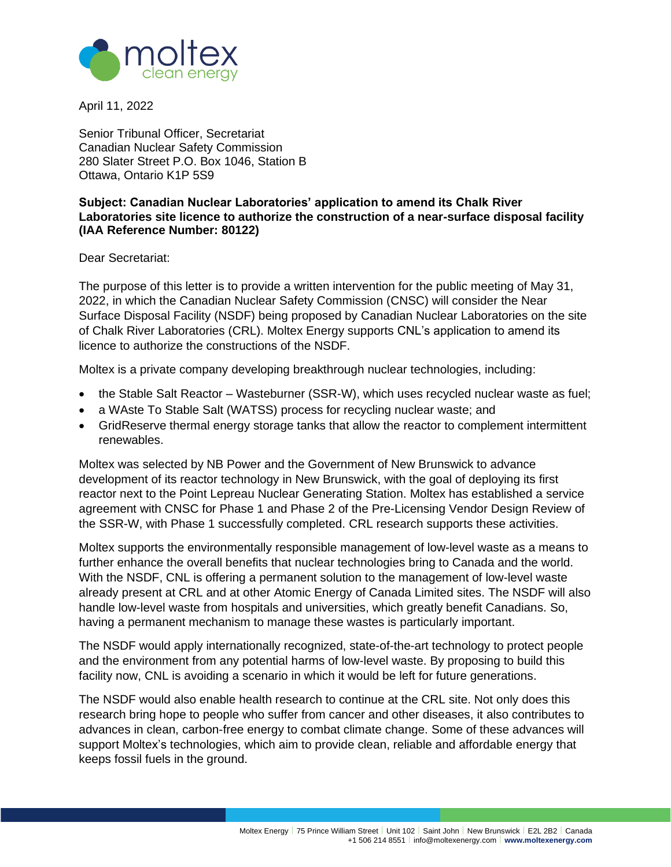

April 11, 2022

Senior Tribunal Officer, Secretariat Canadian Nuclear Safety Commission 280 Slater Street P.O. Box 1046, Station B Ottawa, Ontario K1P 5S9

#### **Subject: Canadian Nuclear Laboratories' application to amend its Chalk River Laboratories site licence to authorize the construction of a near-surface disposal facility (IAA Reference Number: 80122)**

Dear Secretariat:

The purpose of this letter is to provide a written intervention for the public meeting of May 31, 2022, in which the Canadian Nuclear Safety Commission (CNSC) will consider the Near Surface Disposal Facility (NSDF) being proposed by Canadian Nuclear Laboratories on the site of Chalk River Laboratories (CRL). Moltex Energy supports CNL's application to amend its licence to authorize the constructions of the NSDF.

Moltex is a private company developing breakthrough nuclear technologies, including:

- the Stable Salt Reactor Wasteburner (SSR-W), which uses recycled nuclear waste as fuel;
- a WAste To Stable Salt (WATSS) process for recycling nuclear waste; and
- GridReserve thermal energy storage tanks that allow the reactor to complement intermittent renewables.

Moltex was selected by NB Power and the Government of New Brunswick to advance development of its reactor technology in New Brunswick, with the goal of deploying its first reactor next to the Point Lepreau Nuclear Generating Station. Moltex has established a service agreement with CNSC for Phase 1 and Phase 2 of the Pre-Licensing Vendor Design Review of the SSR-W, with Phase 1 successfully completed. CRL research supports these activities.

Moltex supports the environmentally responsible management of low-level waste as a means to further enhance the overall benefits that nuclear technologies bring to Canada and the world. With the NSDF, CNL is offering a permanent solution to the management of low-level waste already present at CRL and at other Atomic Energy of Canada Limited sites. The NSDF will also handle low-level waste from hospitals and universities, which greatly benefit Canadians. So, having a permanent mechanism to manage these wastes is particularly important.

The NSDF would apply internationally recognized, state-of-the-art technology to protect people and the environment from any potential harms of low-level waste. By proposing to build this facility now, CNL is avoiding a scenario in which it would be left for future generations.

The NSDF would also enable health research to continue at the CRL site. Not only does this research bring hope to people who suffer from cancer and other diseases, it also contributes to advances in clean, carbon-free energy to combat climate change. Some of these advances will support Moltex's technologies, which aim to provide clean, reliable and affordable energy that keeps fossil fuels in the ground.